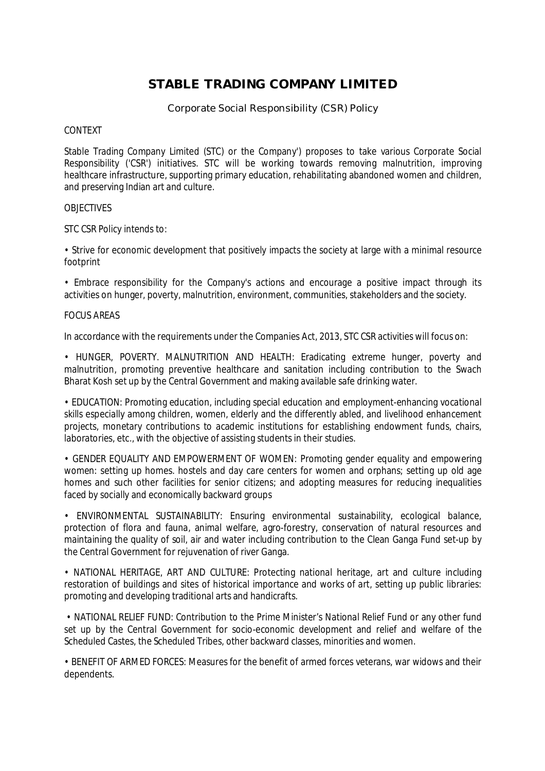# **STABLE TRADING COMPANY LIMITED**

Corporate Social Responsibility (CSR) Policy

## CONTEXT

Stable Trading Company Limited (STC) or the Company') proposes to take various Corporate Social Responsibility ('CSR') initiatives. STC will be working towards removing malnutrition, improving healthcare infrastructure, supporting primary education, rehabilitating abandoned women and children, and preserving Indian art and culture.

## **OBJECTIVES**

STC CSR Policy intends to:

• Strive for economic development that positively impacts the society at large with a minimal resource footprint

• Embrace responsibility for the Company's actions and encourage a positive impact through its activities on hunger, poverty, malnutrition, environment, communities, stakeholders and the society.

## FOCUS AREAS

In accordance with the requirements under the Companies Act, 2013, STC CSR activities will focus on:

• HUNGER, POVERTY. MALNUTRITION AND HEALTH: Eradicating extreme hunger, poverty and malnutrition, promoting preventive healthcare and sanitation including contribution to the Swach Bharat Kosh set up by the Central Government and making available safe drinking water.

• EDUCATION: Promoting education, including special education and employment-enhancing vocational skills especially among children, women, elderly and the differently abled, and livelihood enhancement projects, monetary contributions to academic institutions for establishing endowment funds, chairs, laboratories, etc., with the objective of assisting students in their studies.

• GENDER EQUALITY AND EMPOWERMENT OF WOMEN: Promoting gender equality and empowering women: setting up homes. hostels and day care centers for women and orphans; setting up old age homes and such other facilities for senior citizens; and adopting measures for reducing inequalities faced by socially and economically backward groups

• ENVIRONMENTAL SUSTAINABILITY: Ensuring environmental sustainability, ecological balance, protection of flora and fauna, animal welfare, agro-forestry, conservation of natural resources and maintaining the quality of soil, air and water including contribution to the Clean Ganga Fund set-up by the Central Government for rejuvenation of river Ganga.

• NATIONAL HERITAGE, ART AND CULTURE: Protecting national heritage, art and culture including restoration of buildings and sites of historical importance and works of art, setting up public libraries: promoting and developing traditional arts and handicrafts.

• NATIONAL RELIEF FUND: Contribution to the Prime Minister's National Relief Fund or any other fund set up by the Central Government for socio-economic development and relief and welfare of the Scheduled Castes, the Scheduled Tribes, other backward classes, minorities and women.

• BENEFIT OF ARMED FORCES: Measures for the benefit of armed forces veterans, war widows and their dependents.